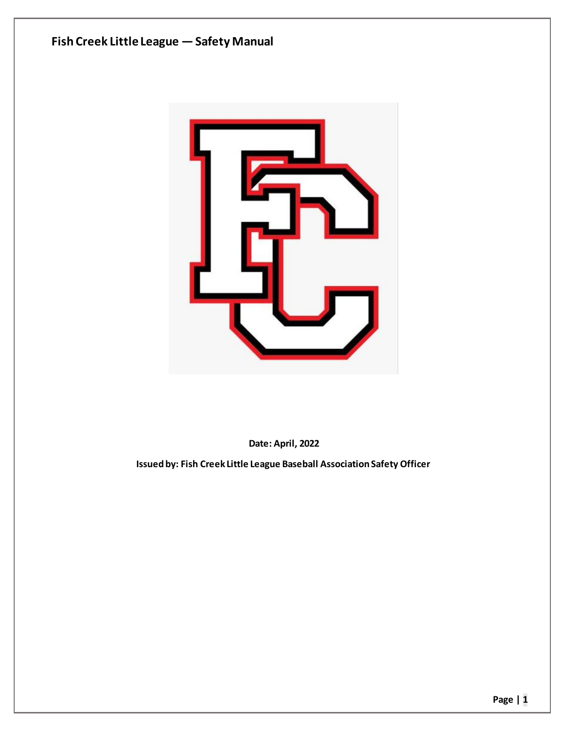



**Date: April, 2022**

**Issued by: Fish Creek Little League Baseball Association Safety Officer**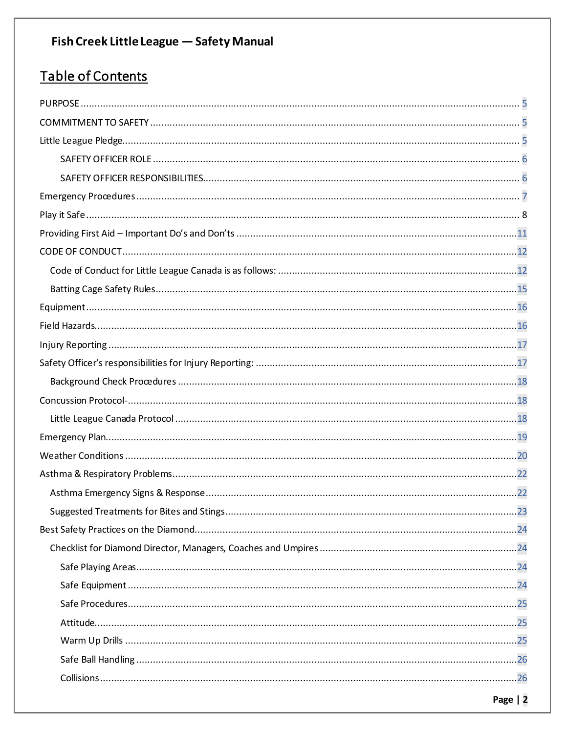## Table of Contents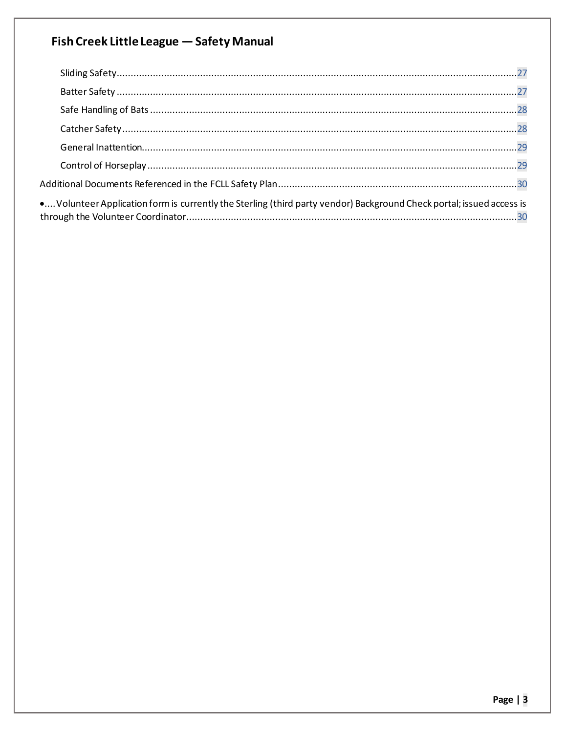| • Volunteer Application form is currently the Sterling (third party vendor) Background Check portal; issued access is |  |
|-----------------------------------------------------------------------------------------------------------------------|--|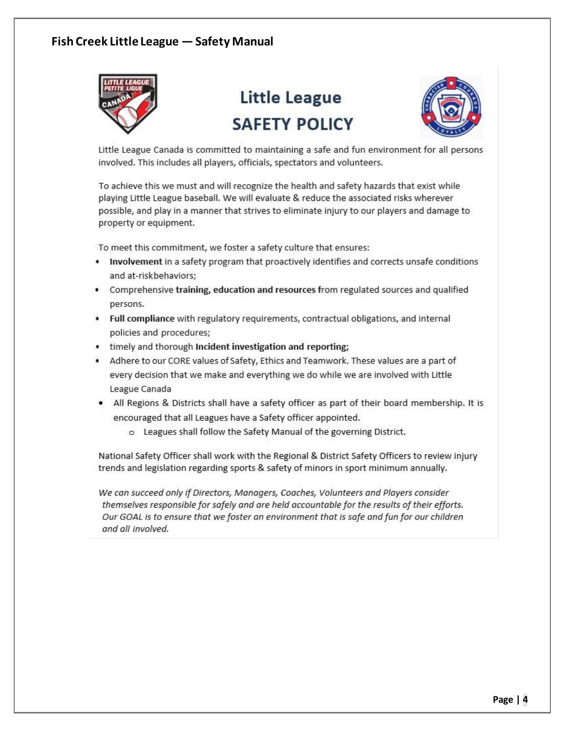

# Little League **SAFFTY POLICY**



Little League Canada is committed to maintaining a safe and fun environment for all persons involved. This includes all players, officials, spectators and volunteers.

To achieve this we must and will recognize the health and safety hazards that exist while playing Little League baseball. We will evaluate & reduce the associated risks wherever possible, and play in a manner that strives to eliminate injury to our players and damage to property or equipment.

To meet this commitment, we foster a safety culture that ensures:

- Involvement in a safety program that proactively identifies and corrects unsafe conditions and at-riskbehaviors;
- Comprehensive training, education and resources from regulated sources and qualified persons.
- . Full compliance with regulatory requirements, contractual obligations, and internal policies and procedures;
- timely and thorough Incident investigation and reporting;
- Adhere to our CORE values of Safety, Ethics and Teamwork. These values are a part of every decision that we make and everything we do while we are involved with Little League Canada
- . All Regions & Districts shall have a safety officer as part of their board membership. It is encouraged that all Leagues have a Safety officer appointed.
	- o Leagues shall follow the Safety Manual of the governing District.

National Safety Officer shall work with the Regional & District Safety Officers to review injury trends and legislation regarding sports & safety of minors in sport minimum annually.

We can succeed only if Directors, Managers, Coaches, Volunteers and Players consider themselves responsible for safely and are held accountable for the results of their efforts. Our GOAL is to ensure that we foster an environment that is safe and fun for our children and all involved.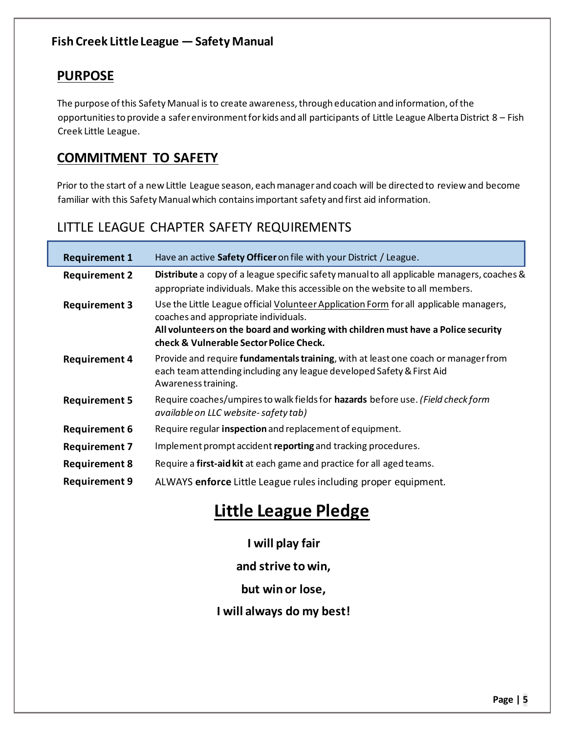## **PURPOSE**

The purpose of this Safety Manual is to create awareness, through education and information, of the opportunities to provide a safer environment for kids and all participants of Little League Alberta District  $8 -$  Fish Creek Little League.

## **COMMITMENT TO SAFETY**

Prior to the start of a new Little League season, each manager and coach will be directed to review and become familiar with this Safety Manual which contains important safety and first aid information.

## LITTLE LEAGUE CHAPTER SAFETY REQUIREMENTS

| <b>Requirement 1</b> | Have an active Safety Officer on file with your District / League.                                                                                                                                                                                             |
|----------------------|----------------------------------------------------------------------------------------------------------------------------------------------------------------------------------------------------------------------------------------------------------------|
| <b>Requirement 2</b> | Distribute a copy of a league specific safety manual to all applicable managers, coaches &<br>appropriate individuals. Make this accessible on the website to all members.                                                                                     |
| <b>Requirement 3</b> | Use the Little League official Volunteer Application Form for all applicable managers,<br>coaches and appropriate individuals.<br>All volunteers on the board and working with children must have a Police security<br>check & Vulnerable Sector Police Check. |
| <b>Requirement 4</b> | Provide and require fundamentals training, with at least one coach or manager from<br>each team attending including any league developed Safety & First Aid<br>Awareness training.                                                                             |
| <b>Requirement 5</b> | Require coaches/umpires to walk fields for hazards before use. (Field check form<br>available on LLC website-safety tab)                                                                                                                                       |
| <b>Requirement 6</b> | Require regular inspection and replacement of equipment.                                                                                                                                                                                                       |
| <b>Requirement 7</b> | Implement prompt accident reporting and tracking procedures.                                                                                                                                                                                                   |
| <b>Requirement 8</b> | Require a first-aid kit at each game and practice for all aged teams.                                                                                                                                                                                          |
| <b>Requirement 9</b> | ALWAYS enforce Little League rules including proper equipment.                                                                                                                                                                                                 |

# **Little League Pledge**

## **I will play fair**

**and strive to win,** 

**but win or lose,** 

**I will always do my best!**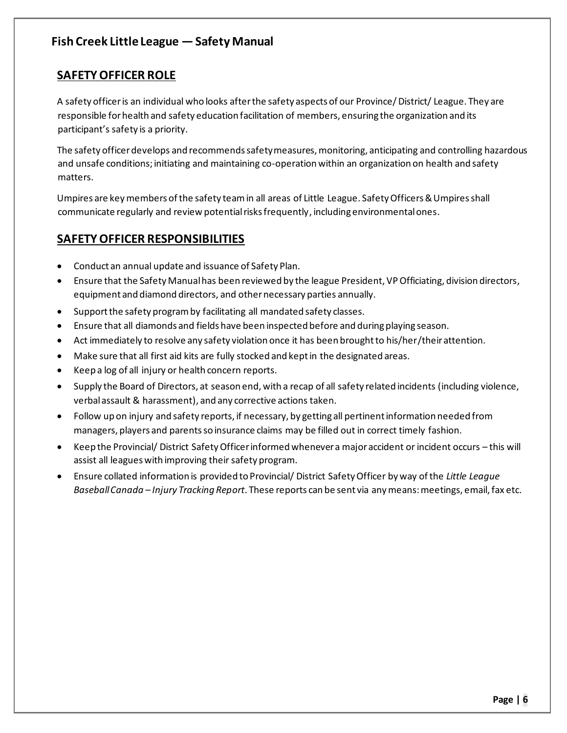## **SAFETY OFFICER ROLE**

A safety officer is an individual who looks after the safety aspects of our Province/ District/ League. They are responsible for health and safety education facilitation of members, ensuring the organization and its participant's safety is a priority.

The safety officer develops and recommends safety measures, monitoring, anticipating and controlling hazardous and unsafe conditions; initiating and maintaining co-operation within an organization on health and safety matters.

Umpires are key members of the safety team in all areas of Little League. Safety Officers & Umpires shall communicate regularly and review potential risks frequently, including environmental ones.

## **SAFETY OFFICER RESPONSIBILITIES**

- Conduct an annual update and issuance of Safety Plan.
- x Ensure that the Safety Manual has been reviewed by the league President, VP Officiating, division directors, equipment and diamond directors, and other necessary parties annually.
- Support the safety program by facilitating all mandated safety classes.
- Ensure that all diamonds and fields have been inspected before and during playing season.
- Act immediately to resolve any safety violation once it has been brought to his/her/their attention.
- Make sure that all first aid kits are fully stocked and kept in the designated areas.
- x Keep a log of all injury or health concern reports.
- Supply the Board of Directors, at season end, with a recap of all safety related incidents (including violence, verbal assault & harassment), and any corrective actions taken.
- Follow up on injury and safety reports, if necessary, by getting all pertinent information needed from managers, players and parents so insurance claims may be filled out in correct timely fashion.
- Keep the Provincial/ District Safety Officer informed whenever a major accident or incident occurs this will assist all leagues with improving their safety program.
- x Ensure collated information is provided to Provincial/ District Safety Officer by way of the *Little League Baseball Canada ʹ Injury Tracking Report*. These reports can be sent via any means: meetings, email, fax etc.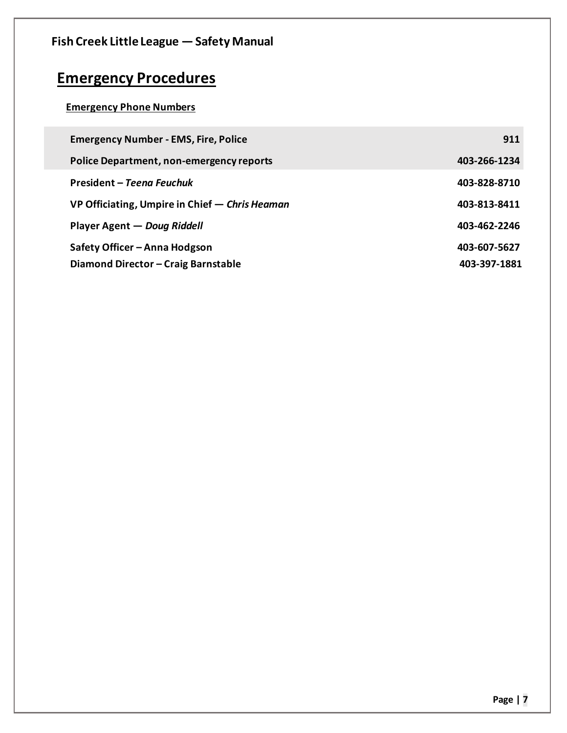| Fish Creek Little League - Safety Manual       |              |
|------------------------------------------------|--------------|
| <b>Emergency Procedures</b>                    |              |
| <b>Emergency Phone Numbers</b>                 |              |
| <b>Emergency Number - EMS, Fire, Police</b>    | 911          |
| Police Department, non-emergency reports       | 403-266-1234 |
| President – Teena Feuchuk                      | 403-828-8710 |
| VP Officiating, Umpire in Chief - Chris Heaman | 403-813-8411 |
| Player Agent — Doug Riddell                    | 403-462-2246 |
| Safety Officer – Anna Hodgson                  | 403-607-5627 |
| Diamond Director - Craig Barnstable            | 403-397-1881 |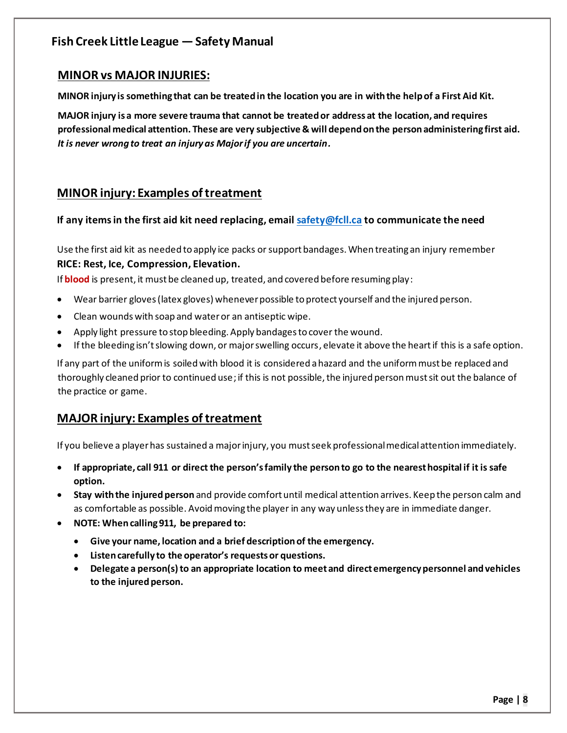#### **MINOR vs MAJOR INJURIES:**

**MINOR injury is something that can be treated in the location you are in with the help of a First Aid Kit.**

**MAJOR injury is a more severe trauma that cannot be treated or address at the location, and requires professional medical attention. These are very subjective & will depend on the person administering first aid.** *It is never wrong to treat an injury as Major if you are uncertain.*

### **MINOR injury: Examples of treatment**

#### **If any items in the first aid kit need replacing, email safety@fcll.ca to communicate the need**

Use the first aid kit as needed to apply ice packs or support bandages. When treating an injury remember **RICE: Rest, Ice, Compression, Elevation.** 

If **blood** is present, it must be cleaned up, treated, and covered before resuming play:

- Wear barrier gloves (latex gloves) whenever possible to protect yourself and the injured person.
- Clean wounds with soap and water or an antiseptic wipe.
- Apply light pressure to stop bleeding. Apply bandages to cover the wound.
- If the bleeding isn't slowing down, or major swelling occurs, elevate it above the heart if this is a safe option.

If any part of the uniform is soiled with blood it is considered a hazard and the uniform must be replaced and thoroughly cleaned prior to continued use; if this is not possible, the injured person must sit out the balance of the practice or game.

### **MAJOR injury: Examples of treatment**

If you believe a player has sustained a major injury, you must seek professional medical attention immediately.

- **•** If appropriate, call 911 or direct the person's family the person to go to the nearest hospital if it is safe **option.**
- **Stay with the injured person** and provide comfort until medical attention arrives. Keep the person calm and as comfortable as possible. Avoid moving the player in any way unless they are in immediate danger.
- x **NOTE: When calling 911, be prepared to:** 
	- **Example 3 Give your name, location and a brief description of the emergency.**
	- Listen carefully to the operator's requests or questions.
	- x **Delegate a person(s) to an appropriate location to meet and direct emergency personnel and vehicles to the injured person.**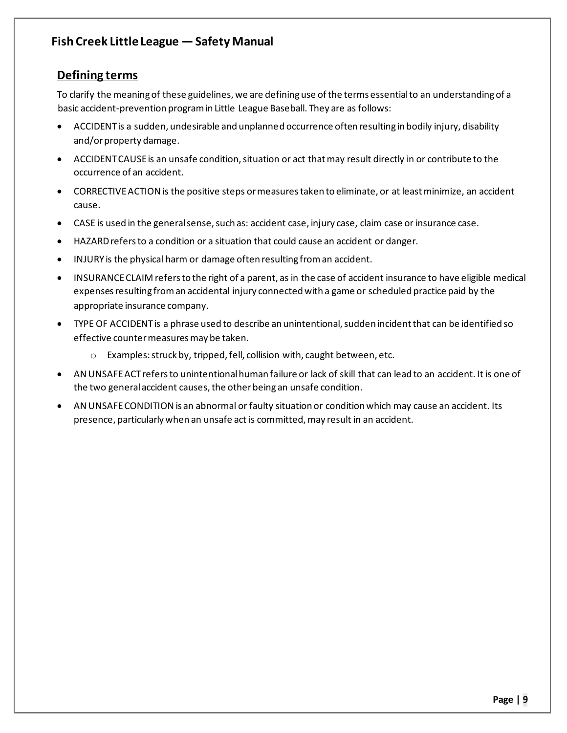## **Defining terms**

To clarify the meaning of these guidelines, we are defining use of the terms essential to an understanding of a basic accident-prevention program in Little League Baseball. They are as follows:

- x ACCIDENT is a sudden, undesirable and unplanned occurrence often resulting in bodily injury, disability and/or property damage.
- ACCIDENT CAUSE is an unsafe condition, situation or act that may result directly in or contribute to the occurrence of an accident.
- CORRECTIVE ACTION is the positive steps or measures taken to eliminate, or at least minimize, an accident cause.
- CASE is used in the general sense, such as: accident case, injury case, claim case or insurance case.
- HAZARD refers to a condition or a situation that could cause an accident or danger.
- INJURY is the physical harm or damage often resulting from an accident.
- INSURANCE CLAIM refers to the right of a parent, as in the case of accident insurance to have eligible medical expenses resulting from an accidental injury connected with a game or scheduled practice paid by the appropriate insurance company.
- x TYPE OF ACCIDENT is a phrase used to describe an unintentional, sudden incident that can be identified so effective counter measures may be taken.
	- o Examples: struck by, tripped, fell, collision with, caught between, etc.
- AN UNSAFE ACT refers to unintentional human failure or lack of skill that can lead to an accident. It is one of the two general accident causes, the other being an unsafe condition.
- AN UNSAFE CONDITION is an abnormal or faulty situation or condition which may cause an accident. Its presence, particularly when an unsafe act is committed, may result in an accident.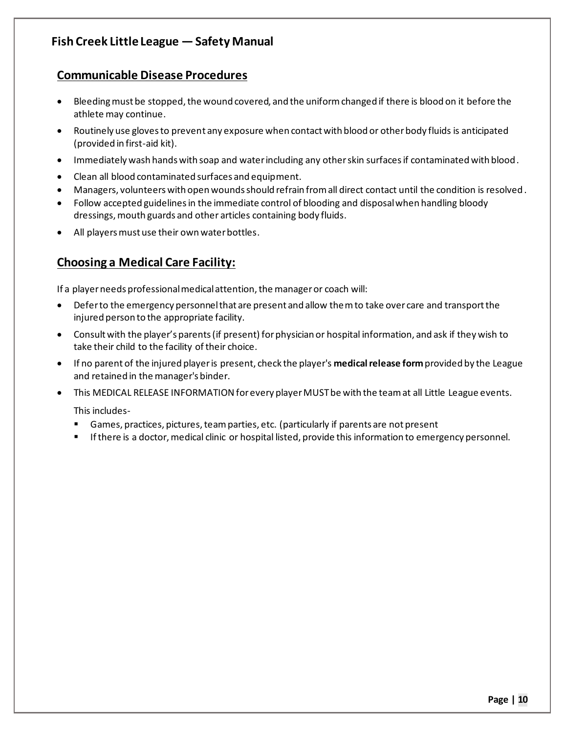### **Communicable Disease Procedures**

- Bleeding must be stopped, the wound covered, and the uniform changed if there is blood on it before the athlete may continue.
- Routinely use gloves to prevent any exposure when contact with blood or other body fluids is anticipated (provided in first-aid kit).
- Immediately wash hands with soap and water including any other skin surfaces if contaminated with blood.
- Clean all blood contaminated surfaces and equipment.
- Managers, volunteers with open wounds should refrain from all direct contact until the condition is resolved.
- Follow accepted guidelines in the immediate control of blooding and disposal when handling bloody dressings, mouth guards and other articles containing body fluids.
- All players must use their own water bottles.

## **Choosing a Medical Care Facility:**

If a player needs professional medical attention, the manager or coach will:

- Defer to the emergency personnel that are present and allow them to take over care and transport the injured person to the appropriate facility.
- Consult with the player's parents (if present) for physician or hospital information, and ask if they wish to take their child to the facility of their choice.
- x If no parent of the injured player is present, check the player's **medical release form** provided by the League and retained in the manager's binder.
- x This MEDICAL RELEASE INFORMATION for every player MUST be with the team at all Little League events.

This includes-

- Games, practices, pictures, team parties, etc. (particularly if parents are not present
- If there is a doctor, medical clinic or hospital listed, provide this information to emergency personnel.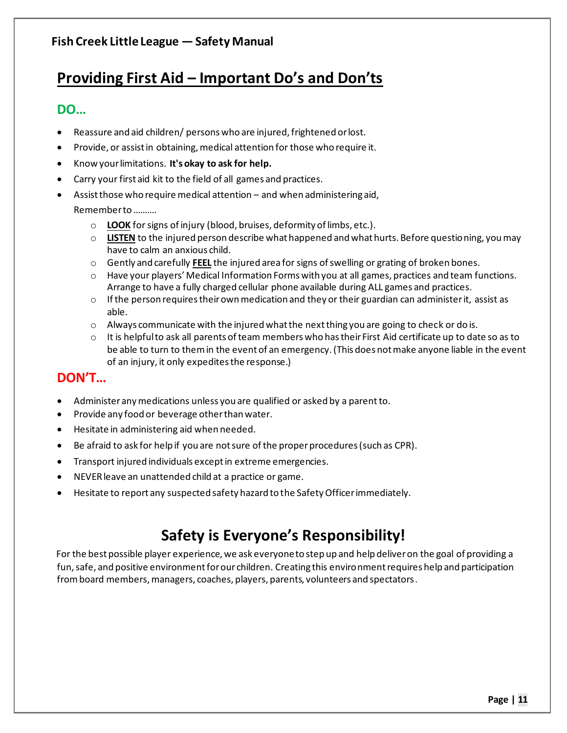## **Providing First Aid - Important Do's and Don'ts**

## **DO...**

- Reassure and aid children/ persons who are injured, frightened or lost.
- Provide, or assist in obtaining, medical attention for those who require it.
- **•** Know your limitations. It's okay to ask for help.
- Carry your first aid kit to the field of all games and practices.
- Assist those who require medical attention  $-$  and when administering aid, Rememberto..........
	- o **LOOK** for signs of injury (blood, bruises, deformity of limbs, etc.).
	- o **LISTEN** to the injured person describe what happened and what hurts. Before questioning, you may have to calm an anxious child.
	- o Gently and carefully **FEEL** the injured area for signs of swelling or grating of broken bones.
	- $\circ$  Have your players' Medical Information Forms with you at all games, practices and team functions. Arrange to have a fully charged cellular phone available during ALL games and practices.
	- $\circ$  If the person requires their own medication and they or their guardian can administer it, assist as able.
	- $\circ$  Always communicate with the injured what the next thing you are going to check or do is.
	- $\circ$  It is helpful to ask all parents of team members who has their First Aid certificate up to date so as to be able to turn to them in the event of an emergency. (This does not make anyone liable in the event of an injury, it only expedites the response.)

## **DON'T...**

- Administer any medications unless you are qualified or asked by a parent to.
- Provide any food or beverage other than water.
- Hesitate in administering aid when needed.
- **•** Be afraid to ask for help if you are not sure of the proper procedures (such as CPR).
- Transport injured individuals except in extreme emergencies.
- NEVER leave an unattended child at a practice or game.
- Hesitate to report any suspected safety hazard to the Safety Officer immediately.

# Safety is Everyone's Responsibility!

For the best possible player experience, we ask everyone to step up and help deliver on the goal of providing a fun, safe, and positive environment for our children. Creating this environment requires help and participation from board members, managers, coaches, players, parents, volunteers and spectators.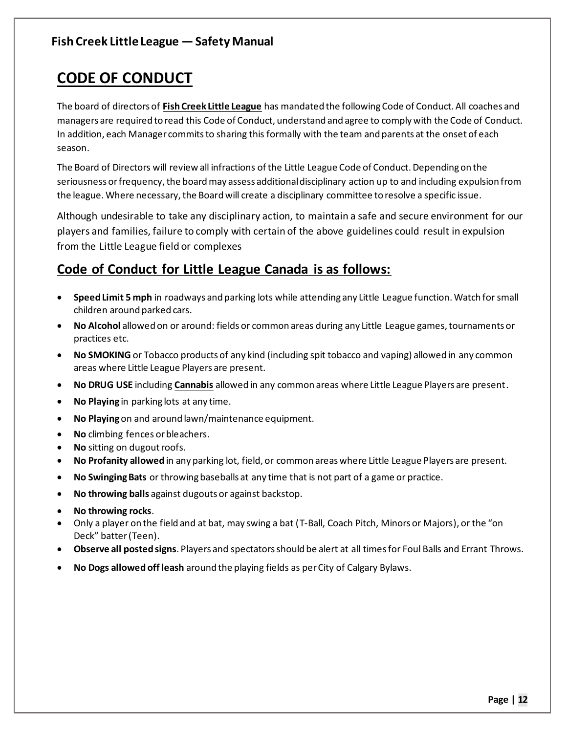## **CODE OF CONDUCT**

The board of directors of **Fish Creek Little League** has mandated the following Code of Conduct. All coaches and managers are required to read this Code of Conduct, understand and agree to comply with the Code of Conduct. In addition, each Manager commits to sharing this formally with the team and parents at the onset of each season.

The Board of Directors will review all infractions of the Little League Code of Conduct. Depending on the seriousness or frequency, the board may assess additional disciplinary action up to and including expulsion from the league. Where necessary, the Board will create a disciplinary committee to resolve a specific issue.

Although undesirable to take any disciplinary action, to maintain a safe and secure environment for our players and families, failure to comply with certain of the above guidelines could result in expulsion from the Little League field or complexes

## **Code of Conduct for Little League Canada is as follows:**

- **Speed Limit 5 mph** in roadways and parking lots while attending any Little League function. Watch for small children around parked cars.
- x **No Alcohol** allowed on or around: fields or common areas during any Little League games, tournaments or practices etc.
- **No SMOKING** or Tobacco products of any kind (including spit tobacco and vaping) allowed in any common areas where Little League Players are present.
- **No DRUG USE** including **Cannabis** allowed in any common areas where Little League Players are present.
- **No Playing** in parking lots at any time.
- **No Playing** on and around lawn/maintenance equipment.
- No climbing fences or bleachers.
- No sitting on dugout roofs.
- **No Profanity allowed** in any parking lot, field, or common areas where Little League Players are present.
- **No Swinging Bats** or throwing baseballs at any time that is not part of a game or practice.
- **No throwing balls** against dugouts or against backstop.
- x **No throwing rocks**.
- Only a player on the field and at bat, may swing a bat (T-Ball, Coach Pitch, Minors or Majors), or the "on Deck" batter (Teen).
- x **Observe all posted signs**. Players and spectators should be alert at all times for Foul Balls and Errant Throws.
- x **No Dogs allowed off leash** around the playing fields as per City of Calgary Bylaws.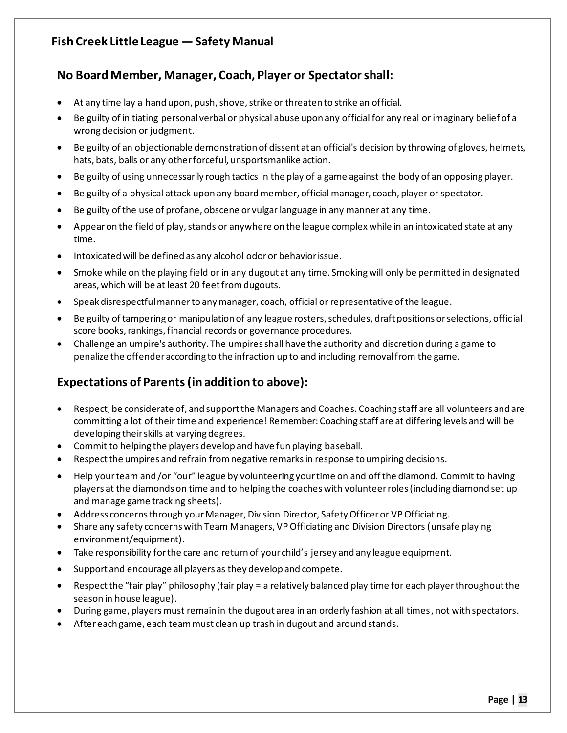## **No Board Member, Manager, Coach, Player or Spectator shall:**

- At any time lay a hand upon, push, shove, strike or threaten to strike an official.
- Be guilty of initiating personal verbal or physical abuse upon any official for any real or imaginary belief of a wrong decision or judgment.
- Be guilty of an objectionable demonstration of dissent at an official's decision by throwing of gloves, helmets, hats, bats, balls or any other forceful, unsportsmanlike action.
- Be guilty of using unnecessarily rough tactics in the play of a game against the body of an opposing player.
- Be guilty of a physical attack upon any board member, official manager, coach, player or spectator.
- $\bullet$  Be guilty of the use of profane, obscene or vulgar language in any manner at any time.
- Appear on the field of play, stands or anywhere on the league complex while in an intoxicated state at any time.
- $\bullet$  Intoxicated will be defined as any alcohol odor or behavior issue.
- Smoke while on the playing field or in any dugout at any time. Smoking will only be permitted in designated areas, which will be at least 20 feet from dugouts.
- Speak disrespectful manner to any manager, coach, official or representative of the league.
- x Be guilty of tampering or manipulation of any league rosters, schedules, draft positions or selections, official score books, rankings, financial records or governance procedures.
- Challenge an umpire's authority. The umpires shall have the authority and discretion during a game to penalize the offender according to the infraction up to and including removal from the game.

## **Expectations of Parents (in addition to above):**

- Respect, be considerate of, and support the Managers and Coaches. Coaching staff are all volunteers and are committing a lot of their time and experience! Remember: Coaching staff are at differing levels and will be developing their skills at varying degrees.
- Commit to helping the players develop and have fun playing baseball.
- **•** Respect the umpires and refrain from negative remarks in response to umpiring decisions.
- Help your team and /or "our" league by volunteering your time on and off the diamond. Commit to having players at the diamonds on time and to helping the coaches with volunteer roles (including diamond set up and manage game tracking sheets).
- Address concerns through your Manager, Division Director, Safety Officer or VP Officiating.
- Share any safety concerns with Team Managers, VP Officiating and Division Directors (unsafe playing environment/equipment).
- Take responsibility for the care and return of your child's jersey and any league equipment.
- Support and encourage all players as they develop and compete.
- Example X Respect the "fair play" philosophy (fair play = a relatively balanced play time for each player throughout the season in house league).
- During game, players must remain in the dugout area in an orderly fashion at all times, not with spectators.
- x After each game, each team must clean up trash in dugout and around stands.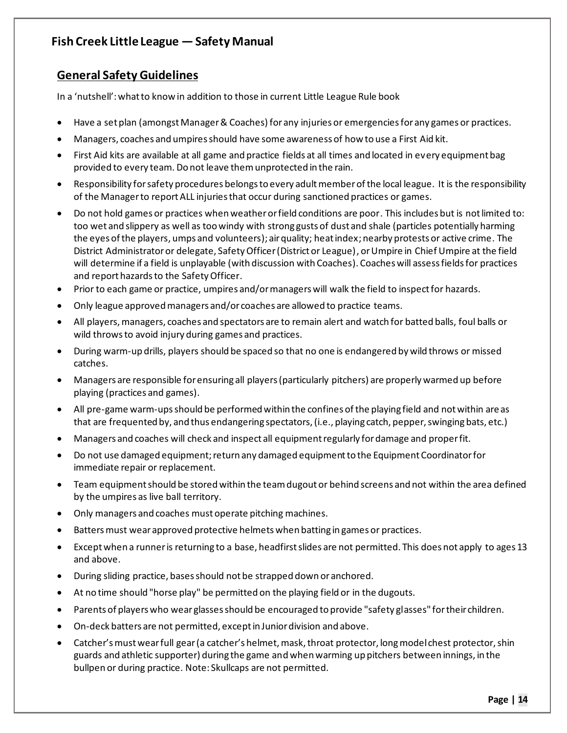## **General Safety Guidelines**

In a 'nutshell': what to know in addition to those in current Little League Rule book

- Have a set plan (amongst Manager & Coaches) for any injuries or emergencies for any games or practices.
- x Managers, coaches and umpires should have some awareness of how to use a First Aid kit.
- First Aid kits are available at all game and practice fields at all times and located in every equipment bag provided to every team. Do not leave them unprotected in the rain.
- x Responsibility for safety procedures belongs to every adult member of the local league. It is the responsibility of the Manager to report ALL injuries that occur during sanctioned practices or games.
- Do not hold games or practices when weather or field conditions are poor. This includes but is not limited to: too wet and slippery as well as too windy with strong gusts of dust and shale (particles potentially harming the eyes of the players, umps and volunteers); air quality; heat index; nearby protests or active crime. The District Administrator or delegate, Safety Officer (District or League), or Umpire in Chief Umpire at the field will determine if a field is unplayable (with discussion with Coaches). Coaches will assess fields for practices and report hazards to the Safety Officer.
- Prior to each game or practice, umpires and/or managers will walk the field to inspect for hazards.
- Only league approved managers and/or coaches are allowed to practice teams.
- All players, managers, coaches and spectators are to remain alert and watch for batted balls, foul balls or wild throws to avoid injury during games and practices.
- During warm-up drills, players should be spaced so that no one is endangered by wild throws or missed catches.
- Managers are responsible for ensuring all players (particularly pitchers) are properly warmed up before playing (practices and games).
- All pre-game warm-ups should be performed within the confines of the playing field and not within are as that are frequented by, and thus endangering spectators, (i.e., playing catch, pepper, swinging bats, etc.)
- Managers and coaches will check and inspect all equipment regularly for damage and proper fit.
- Do not use damaged equipment; return any damaged equipment to the Equipment Coordinator for immediate repair or replacement.
- Team equipment should be stored within the team dugout or behind screens and not within the area defined by the umpires as live ball territory.
- Only managers and coaches must operate pitching machines.
- Batters must wear approved protective helmets when batting in games or practices.
- Except when a runner is returning to a base, headfirst slides are not permitted. This does not apply to ages 13 and above.
- During sliding practice, bases should not be strapped down or anchored.
- At no time should "horse play" be permitted on the playing field or in the dugouts.
- Parents of players who wear glasses should be encouraged to provide "safety glasses" for their children.
- On-deck batters are not permitted, except in Junior division and above.
- Catcher's must wear full gear (a catcher's helmet, mask, throat protector, long model chest protector, shin guards and athletic supporter) during the game and when warming up pitchers between innings, in the bullpen or during practice. Note: Skullcaps are not permitted.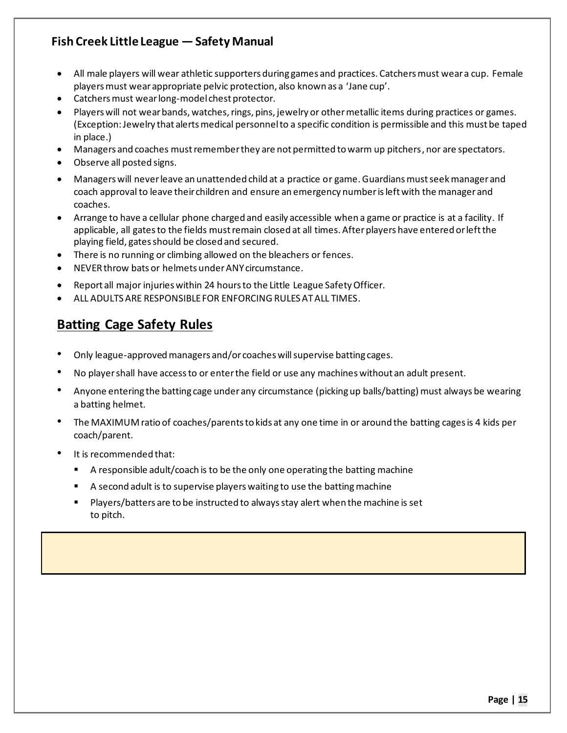- All male players will wear athletic supporters during games and practices. Catchers must wear a cup. Female players must wear appropriate pelvic protection, also known as a 'Jane cup'.
- Catchers must wear long-model chest protector.
- Players will not wear bands, watches, rings, pins, jewelry or other metallic items during practices or games. (Exception: Jewelry that alerts medical personnel to a specific condition is permissible and this must be taped in place.)
- Managers and coaches must remember they are not permitted to warm up pitchers, nor are spectators.
- Observe all posted signs.
- Managers will never leave an unattended child at a practice or game. Guardians must seek manager and coach approval to leave their children and ensure an emergency number is left with the manager and coaches.
- x Arrange to have a cellular phone charged and easily accessible when a game or practice is at a facility. If applicable, all gates to the fields must remain closed at all times. After players have entered or left the playing field, gates should be closed and secured.
- There is no running or climbing allowed on the bleachers or fences.
- NEVER throw bats or helmets under ANY circumstance.
- Report all major injuries within 24 hours to the Little League Safety Officer.
- x ALL ADULTS ARE RESPONSIBLE FOR ENFORCING RULES AT ALL TIMES.

## **Batting Cage Safety Rules**

- Only league-approved managers and/or coaches will supervise batting cages.
- No player shall have access to or enter the field or use any machineswithout an adult present.
- Anyone entering the batting cage under any circumstance (picking up balls/batting) must always be wearing a batting helmet.
- The MAXIMUM ratio of coaches/parents to kids at any one time in or around the batting cages is 4 kids per coach/parent.
- It is recommended that:
	- A responsible adult/coach is to be the only one operating the batting machine
	- A second adult is to supervise players waiting to use the batting machine
	- Players/batters are to be instructed to always stay alert when the machine is set to pitch.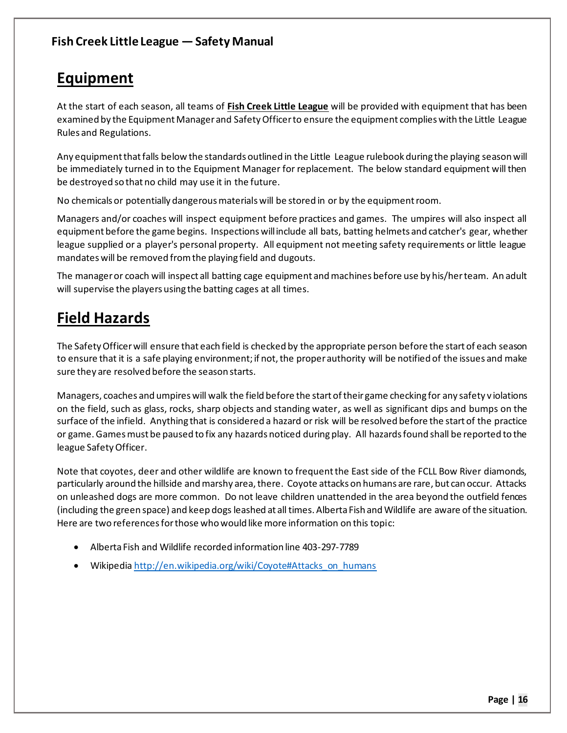## **Equipment**

At the start of each season, all teams of **Fish Creek Little League** will be provided with equipment that has been examined by the Equipment Manager and Safety Officer to ensure the equipment complies with the Little League Rules and Regulations.

Any equipment that falls below the standards outlined in the Little League rulebook during the playing season will be immediately turned in to the Equipment Manager for replacement. The below standard equipment will then be destroyed so that no child may use it in the future.

No chemicals or potentially dangerous materials will be stored in or by the equipment room.

Managers and/or coaches will inspect equipment before practices and games. The umpires will also inspect all equipment before the game begins. Inspections will include all bats, batting helmets and catcher's gear, whether league supplied or a player's personal property. All equipment not meeting safety requirements or little league mandates will be removed from the playing field and dugouts.

The manager or coach will inspect all batting cage equipment and machines before use by his/her team. An adult will supervise the players using the batting cages at all times.

## **Field Hazards**

The Safety Officer will ensure that each field is checked by the appropriate person before the start of each season to ensure that it is a safe playing environment; if not, the proper authority will be notified of the issues and make sure they are resolved before the season starts.

Managers, coaches and umpires will walk the field before the start of their game checking for any safety v iolations on the field, such as glass, rocks, sharp objects and standing water, as well as significant dips and bumps on the surface of the infield. Anything that is considered a hazard or risk will be resolved before the start of the practice or game. Games must be paused to fix any hazards noticed during play. All hazards found shall be reported to the league Safety Officer.

Note that coyotes, deer and other wildlife are known to frequent the East side of the FCLL Bow River diamonds, particularly around the hillside and marshy area, there. Coyote attacks on humans are rare, but can occur. Attacks on unleashed dogs are more common. Do not leave children unattended in the area beyond the outfield fences (including the green space) and keep dogs leashed at all times. Alberta Fish and Wildlife are aware of the situation. Here are two references for those who would like more information on this topic:

- x Alberta Fish and Wildlife recorded information line 403-297-7789
- Wikipedia http://en.wikipedia.org/wiki/Coyote#Attacks\_on\_humans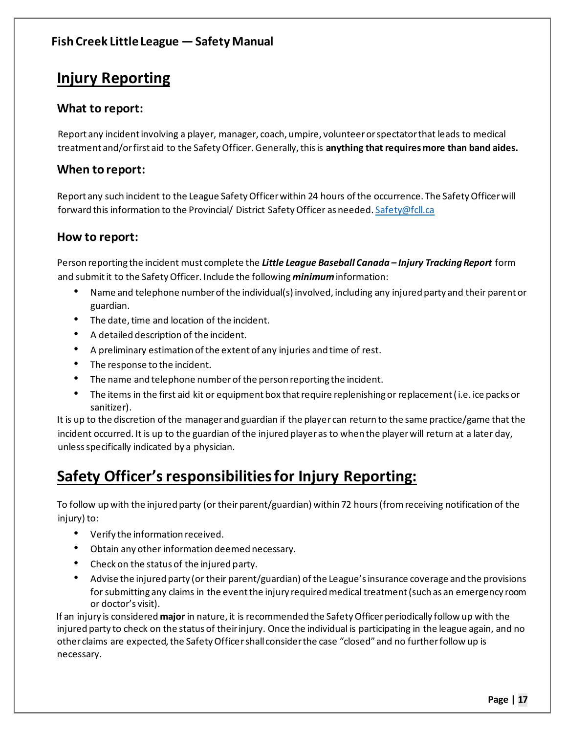## **Injury Reporting**

#### **What to report:**

Report any incident involving a player, manager, coach, umpire, volunteer or spectator that leads to medical treatment and/or first aid to the Safety Officer. Generally, this is **anything that requires more than band aides.**

#### **When to report:**

Report any such incident to the League Safety Officer within 24 hours of the occurrence. The Safety Officer will forward this information to the Provincial/ District Safety Officer as needed. Safety@fcll.ca

#### **How to report:**

Person reporting the incident must complete the *Little League Baseball Canada ʹ Injury Tracking Report* form and submit it to the Safety Officer. Include the following *minimum* information:

- Name and telephone number of the individual(s) involved, including any injured party and their parent or guardian.
- The date, time and location of the incident.
- A detailed description of the incident.
- A preliminary estimation of the extent of any injuries and time of rest.
- The response to the incident.
- The name and telephone number of the person reporting the incident.
- The items in the first aid kit or equipment box that require replenishing or replacement (i.e. ice packs or sanitizer).

It is up to the discretion of the manager and guardian if the player can return to the same practice/game that the incident occurred. It is up to the guardian of the injured player as to when the player will return at a later day, unless specifically indicated by a physician.

## **Safety Officer's responsibilities for Injury Reporting:**

To follow up with the injured party (or their parent/guardian) within 72 hours (from receiving notification of the injury) to:

- Verify the information received.
- Obtain any other information deemed necessary.
- Check on the status of the injured party.
- Advise the injured party (or their parent/guardian) of the League's insurance coverage and the provisions for submitting any claims in the event the injury required medical treatment (such as an emergency room or doctor's visit).

If an injury is considered **major** in nature, it is recommended the Safety Officer periodically follow up with the injured party to check on the status of their injury. Once the individual is participating in the league again, and no other claims are expected, the Safety Officer shall consider the case "closed" and no further follow up is necessary.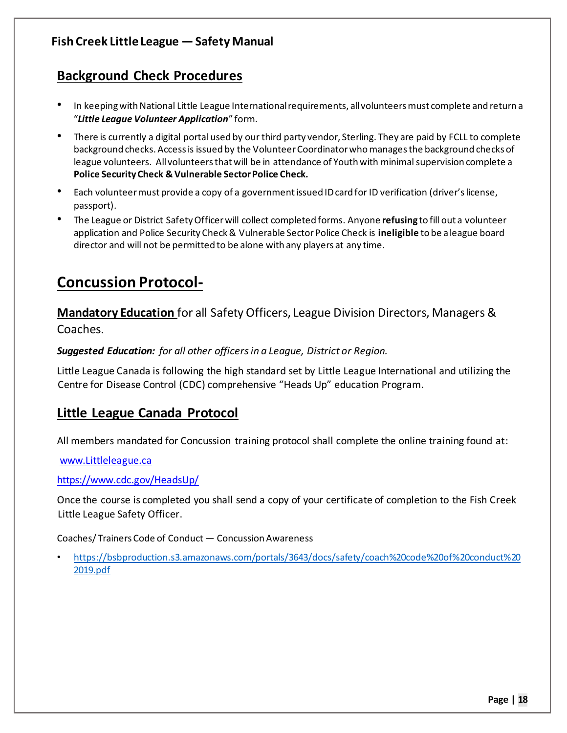## **Background Check Procedures**

- In keeping with National Little League International requirements, all volunteers must complete and return a "Little League Volunteer Application" form.
- There is currently a digital portal used by our third party vendor, Sterling. They are paid by FCLL to complete background checks. Access is issued by the Volunteer Coordinator who manages the background checks of league volunteers. All volunteers that will be in attendance of Youth with minimal supervision complete a **Police Security Check & Vulnerable Sector Police Check.**
- Each volunteer must provide a copy of a government issued ID card for ID verification (driver's license, passport).
- The League or District Safety Officer will collect completed forms. Anyone **refusing** to fill out a volunteer application and Police Security Check & Vulnerable Sector Police Check is **ineligible** to be a league board director and will not be permitted to be alone with any players at any time.

## **Concussion Protocol-**

**Mandatory Education** for all Safety Officers, League Division Directors, Managers & Coaches.

*Suggested Education: for all other officers in a League, District or Region.*

Little League Canada is following the high standard set by Little League International and utilizing the Centre for Disease Control (CDC) comprehensive "Heads Up" education Program.

## **Little League Canada Protocol**

All members mandated for Concussion training protocol shall complete the online training found at:

www.Littleleague.ca

https://www.cdc.gov/HeadsUp/

Once the course is completed you shall send a copy of your certificate of completion to the Fish Creek Little League Safety Officer.

Coaches/ Trainers Code of Conduct - Concussion Awareness

 https://bsbproduction.s3.amazonaws.com/portals/3643/docs/safety/coach%20code%20of%20conduct%20 2019.pdf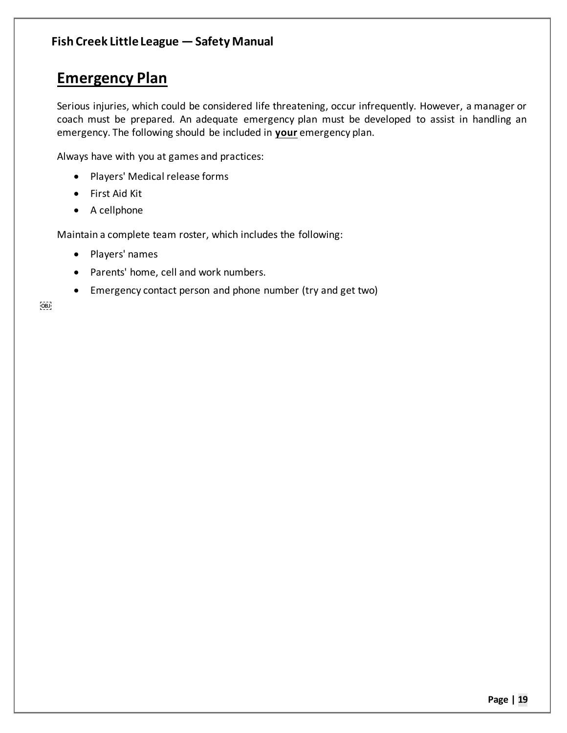## **Emergency Plan**

Serious injuries, which could be considered life threatening, occur infrequently. However, a manager or coach must be prepared. An adequate emergency plan must be developed to assist in handling an emergency. The following should be included in **your** emergency plan.

Always have with you at games and practices:

- Players' Medical release forms
- First Aid Kit
- $\bullet$  A cellphone

Maintain a complete team roster, which includes the following:

- Players' names
- Parents' home, cell and work numbers.
- Emergency contact person and phone number (try and get two)

 $OBJ$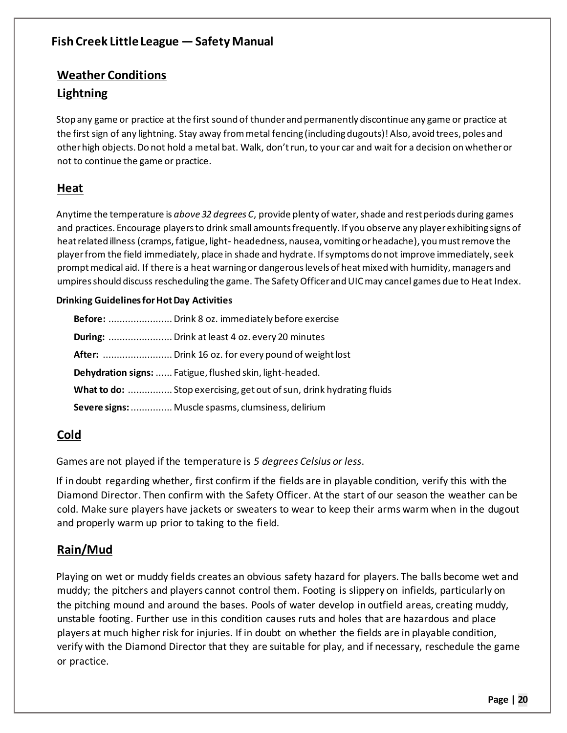## **Weather Conditions Lightning**

Stop any game or practice at the first sound of thunder and permanently discontinue any game or practice at the first sign of any lightning. Stay away from metal fencing (including dugouts)! Also, avoid trees, poles and other high objects. Do not hold a metal bat. Walk, don't run, to your car and wait for a decision on whether or not to continue the game or practice.

#### **Heat**

Anytime the temperature is *above 32 degrees C*, provide plenty of water, shade and rest periods during games and practices. Encourage players to drink small amounts frequently. If you observe any player exhibiting signs of heat related illness (cramps, fatigue, light- headedness, nausea, vomiting or headache), you must remove the player from the field immediately, place in shade and hydrate. If symptoms do not improve immediately, seek prompt medical aid. If there is a heat warning or dangerous levels of heat mixed with humidity, managers and umpires should discuss rescheduling the game. The Safety Officer and UIC may cancel games due to Heat Index.

#### **Drinking Guidelines for Hot Day Activities**

| Dehydration signs:  Fatigue, flushed skin, light-headed. |                                                                      |  |  |
|----------------------------------------------------------|----------------------------------------------------------------------|--|--|
|                                                          | What to do:  Stop exercising, get out of sun, drink hydrating fluids |  |  |
|                                                          | Severe signs:  Muscle spasms, clumsiness, delirium                   |  |  |

## **Cold**

Games are not played if the temperature is *5 degrees Celsius or less*.

If in doubt regarding whether, first confirm if the fields are in playable condition, verify this with the Diamond Director. Then confirm with the Safety Officer. At the start of our season the weather can be cold. Make sure players have jackets or sweaters to wear to keep their arms warm when in the dugout and properly warm up prior to taking to the field.

## **Rain/Mud**

Playing on wet or muddy fields creates an obvious safety hazard for players. The balls become wet and muddy; the pitchers and players cannot control them. Footing is slippery on infields, particularly on the pitching mound and around the bases. Pools of water develop in outfield areas, creating muddy, unstable footing. Further use in this condition causes ruts and holes that are hazardous and place players at much higher risk for injuries. If in doubt on whether the fields are in playable condition, verify with the Diamond Director that they are suitable for play, and if necessary, reschedule the game or practice.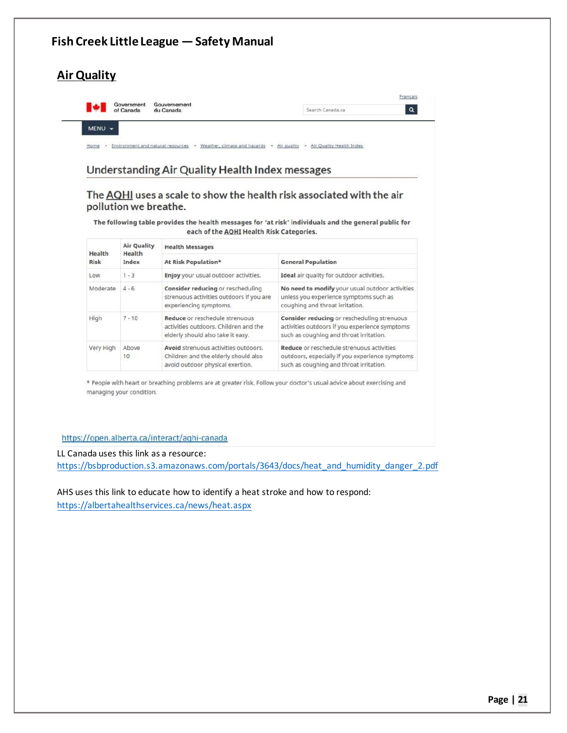#### **Fish Creek Little League – Safety Manual Air Quality** Français Government<br>of Canada Gouvernement<br>du Canada ∎≁∎  $\overline{a}$ Search Canada.ca MENU -Home vonment and natural resources > Weather, climate and hazards > Air quality > Air Quality Health Index

#### **Understanding Air Quality Health Index messages**

#### The AQHI uses a scale to show the health risk associated with the air pollution we breathe.

The following table provides the health messages for 'at risk' individuals and the general public for each of the **AQHI** Health Risk Categories.

| Health    | <b>Air Quality</b><br>Health | <b>Health Messages</b>                                                                                           |                                                                                                                                          |  |
|-----------|------------------------------|------------------------------------------------------------------------------------------------------------------|------------------------------------------------------------------------------------------------------------------------------------------|--|
| Risk      | Index                        | At Risk Population*                                                                                              | <b>General Population</b>                                                                                                                |  |
| Low       | $1 - 3$                      | Enjoy your usual outdoor activities.                                                                             | Ideal air quality for outdoor activities.                                                                                                |  |
| Moderate  | $4 - 6$                      | Consider reducing or rescheduling<br>strenuous activities outdoors if you are<br>experiencing symptoms.          | No need to modify your usual outdoor activities<br>unless you experience symptoms such as<br>coughing and throat irritation.             |  |
| High      | $7 - 10$                     | Reduce or reschedule strenuous<br>activities outdoors. Children and the<br>elderly should also take it easy.     | Consider reducing or rescheduling strenuous<br>activities outdoors if you experience symptoms<br>such as coughing and throat irritation. |  |
| Very High | Above<br>10                  | Avoid strenuous activities outdoors.<br>Children and the elderly should also<br>avoid outdoor physical exertion. | Reduce or reschedule strenuous activities<br>outdoors, especially if you experience symptoms<br>such as coughing and throat irritation.  |  |

\* People with heart or breathing problems are at greater risk. Follow your doctor's usual advice about exercising and managing your condition.

#### https://open.alberta.ca/interact/aghi-canada

LL Canada uses this link as a resource: https://bsbproduction.s3.amazonaws.com/portals/3643/docs/heat\_and\_humidity\_danger\_2.pdf

AHS uses this link to educate how to identify a heat stroke and how to respond: https://albertahealthservices.ca/news/heat.aspx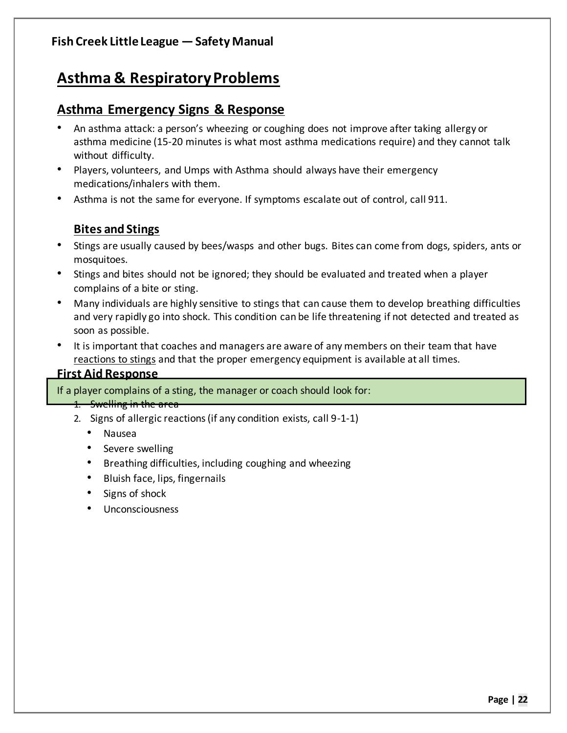## **Asthma & Respiratory Problems**

## **Asthma Emergency Signs & Response**

- An asthma attack: a person's wheezing or coughing does not improve after taking allergy or asthma medicine (15-20 minutes is what most asthma medications require) and they cannot talk without difficulty.
- Players, volunteers, and Umps with Asthma should always have their emergency medications/inhalers with them.
- Asthma is not the same for everyone. If symptoms escalate out of control, call 911.

## **Bites and Stings**

- Stings are usually caused by bees/wasps and other bugs. Bites can come from dogs, spiders, ants or mosquitoes.
- Stings and bites should not be ignored; they should be evaluated and treated when a player complains of a bite or sting.
- Many individuals are highly sensitive to stings that can cause them to develop breathing difficulties and very rapidly go into shock. This condition can be life threatening if not detected and treated as soon as possible.
- It is important that coaches and managers are aware of any members on their team that have reactions to stings and that the proper emergency equipment is available at all times.

#### **First Aid Response**

If a player complains of a sting, the manager or coach should look for:

- 1. Swelling in the area
- 2. Signs of allergic reactions (if any condition exists, call 9-1-1)
	- Nausea
	- Severe swelling
	- Breathing difficulties, including coughing and wheezing
	- Bluish face, lips, fingernails
	- Signs of shock
	- Unconsciousness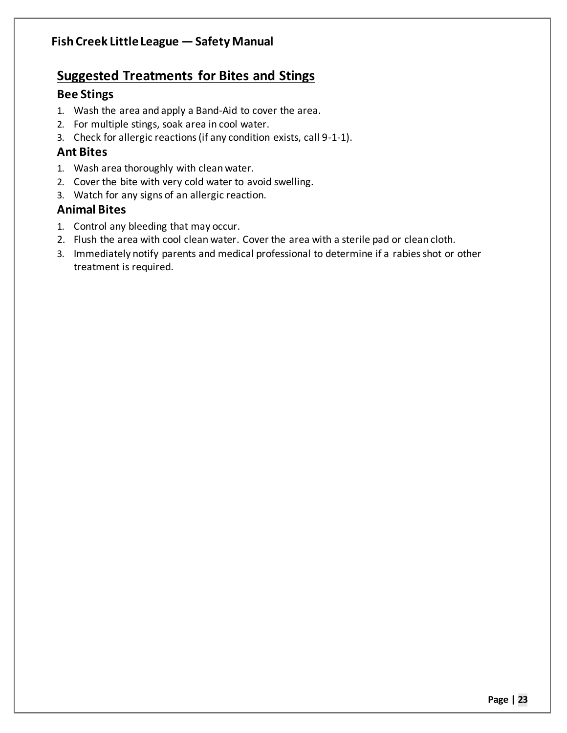## **Suggested Treatments for Bites and Stings**

### **Bee Stings**

- 1. Wash the area and apply a Band-Aid to cover the area.
- 2. For multiple stings, soak area in cool water.
- 3. Check for allergic reactions (if any condition exists, call 9-1-1).

### **Ant Bites**

- 1. Wash area thoroughly with clean water.
- 2. Cover the bite with very cold water to avoid swelling.
- 3. Watch for any signs of an allergic reaction.

## **Animal Bites**

- 1. Control any bleeding that may occur.
- 2. Flush the area with cool clean water. Cover the area with a sterile pad or clean cloth.
- 3. Immediately notify parents and medical professional to determine if a rabies shot or other treatment is required.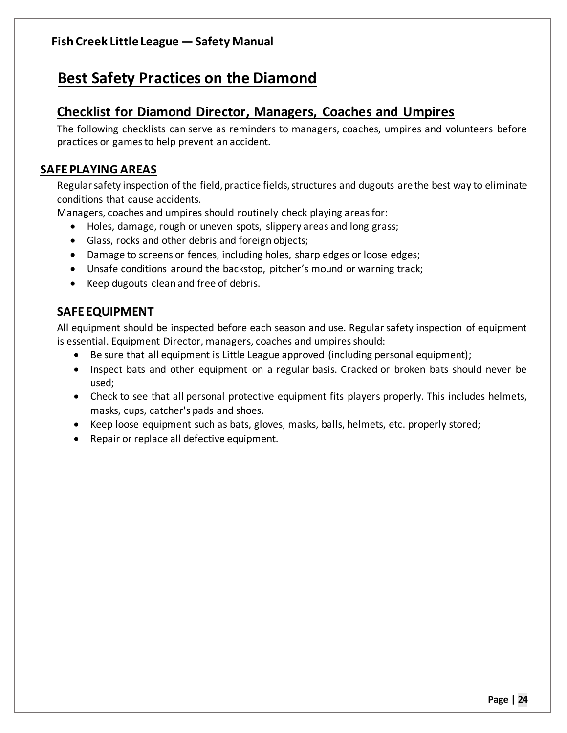## **Best Safety Practices on the Diamond**

## **Checklist for Diamond Director, Managers, Coaches and Umpires**

The following checklists can serve as reminders to managers, coaches, umpires and volunteers before practices or games to help prevent an accident.

## **SAFE PLAYING AREAS**

Regular safety inspection of the field, practice fields, structures and dugouts are the best way to eliminate conditions that cause accidents.

Managers, coaches and umpires should routinely check playing areas for:

- Holes, damage, rough or uneven spots, slippery areas and long grass;
- Glass, rocks and other debris and foreign objects;
- Damage to screens or fences, including holes, sharp edges or loose edges;
- Unsafe conditions around the backstop, pitcher's mound or warning track;
- Keep dugouts clean and free of debris.

## **SAFE EQUIPMENT**

All equipment should be inspected before each season and use. Regular safety inspection of equipment is essential. Equipment Director, managers, coaches and umpires should:

- Be sure that all equipment is Little League approved (including personal equipment);
- Inspect bats and other equipment on a regular basis. Cracked or broken bats should never be used;
- Check to see that all personal protective equipment fits players properly. This includes helmets, masks, cups, catcher's pads and shoes.
- Keep loose equipment such as bats, gloves, masks, balls, helmets, etc. properly stored;
- Repair or replace all defective equipment.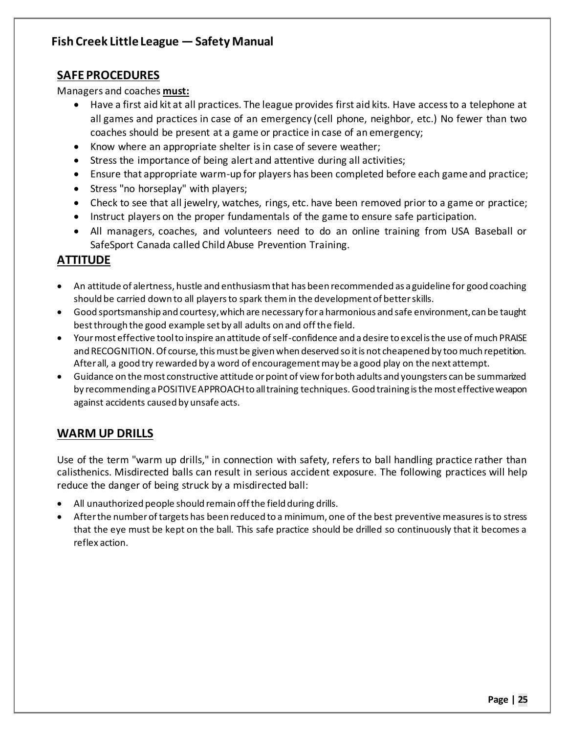### **SAFE PROCEDURES**

Managers and coaches **must:**

- x Have a first aid kit at all practices. The league provides first aid kits. Have access to a telephone at all games and practices in case of an emergency (cell phone, neighbor, etc.) No fewer than two coaches should be present at a game or practice in case of an emergency;
- $\bullet$  Know where an appropriate shelter is in case of severe weather;
- Stress the importance of being alert and attentive during all activities;
- Ensure that appropriate warm-up for players has been completed before each game and practice;
- Stress "no horseplay" with players;
- Check to see that all jewelry, watches, rings, etc. have been removed prior to a game or practice;
- Instruct players on the proper fundamentals of the game to ensure safe participation.
- All managers, coaches, and volunteers need to do an online training from USA Baseball or SafeSport Canada called Child Abuse Prevention Training.

#### **ATTITUDE**

- An attitude of alertness, hustle and enthusiasm that has been recommended as a guideline for good coaching should be carried down to all players to spark them in the development of better skills.
- x Good sportsmanship and courtesy, which are necessary for a harmonious and safe environment, can be taught best through the good example set by all adults on and off the field.
- Your most effective tool to inspire an attitude of self-confidence and a desire to excel is the use of much PRAISE and RECOGNITION. Of course, this must be given when deserved so it is not cheapened by too much repetition. After all, a good try rewarded by a word of encouragement may be a good play on the next attempt.
- Guidance on the most constructive attitude or point of view for both adults and youngsters can be summarized by recommending a POSITIVE APPROACH to all training techniques. Good training is the most effective weapon against accidents caused by unsafe acts.

## **WARM UP DRILLS**

Use of the term "warm up drills," in connection with safety, refers to ball handling practice rather than calisthenics. Misdirected balls can result in serious accident exposure. The following practices will help reduce the danger of being struck by a misdirected ball:

- All unauthorized people should remain off the field during drills.
- After the number of targets has been reduced to a minimum, one of the best preventive measures is to stress that the eye must be kept on the ball. This safe practice should be drilled so continuously that it becomes a reflex action.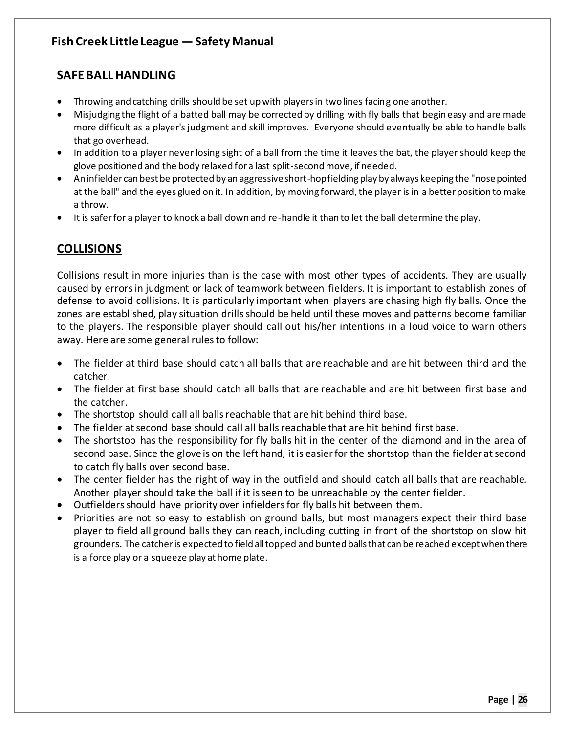### **SAFE BALL HANDLING**

- Throwing and catching drills should be set up with players in two lines facing one another.
- Misjudging the flight of a batted ball may be corrected by drilling with fly balls that begin easy and are made more difficult as a player's judgment and skill improves. Everyone should eventually be able to handle balls that go overhead.
- In addition to a player never losing sight of a ball from the time it leaves the bat, the player should keep the glove positioned and the body relaxed for a last split-second move, if needed.
- An infielder can best be protected by an aggressive short-hop fielding play by always keeping the "nose pointed" at the ball" and the eyes glued on it. In addition, by moving forward, the player is in a better position to make a throw.
- It is safer for a player to knock a ball down and re-handle it than to let the ball determine the play.

## **COLLISIONS**

Collisions result in more injuries than is the case with most other types of accidents. They are usually caused by errors in judgment or lack of teamwork between fielders. It is important to establish zones of defense to avoid collisions. It is particularly important when players are chasing high fly balls. Once the zones are established, play situation drills should be held until these moves and patterns become familiar to the players. The responsible player should call out his/her intentions in a loud voice to warn others away. Here are some general rules to follow:

- The fielder at third base should catch all balls that are reachable and are hit between third and the catcher.
- The fielder at first base should catch all balls that are reachable and are hit between first base and the catcher.
- The shortstop should call all balls reachable that are hit behind third base.
- The fielder at second base should call all balls reachable that are hit behind first base.
- The shortstop has the responsibility for fly balls hit in the center of the diamond and in the area of second base. Since the glove is on the left hand, it is easier for the shortstop than the fielder at second to catch fly balls over second base.
- The center fielder has the right of way in the outfield and should catch all balls that are reachable. Another player should take the ball if it is seen to be unreachable by the center fielder.
- Outfielders should have priority over infielders for fly balls hit between them.
- Priorities are not so easy to establish on ground balls, but most managers expect their third base player to field all ground balls they can reach, including cutting in front of the shortstop on slow hit grounders. The catcher is expected to field all topped and bunted balls that can be reached except when there is a force play or a squeeze play at home plate.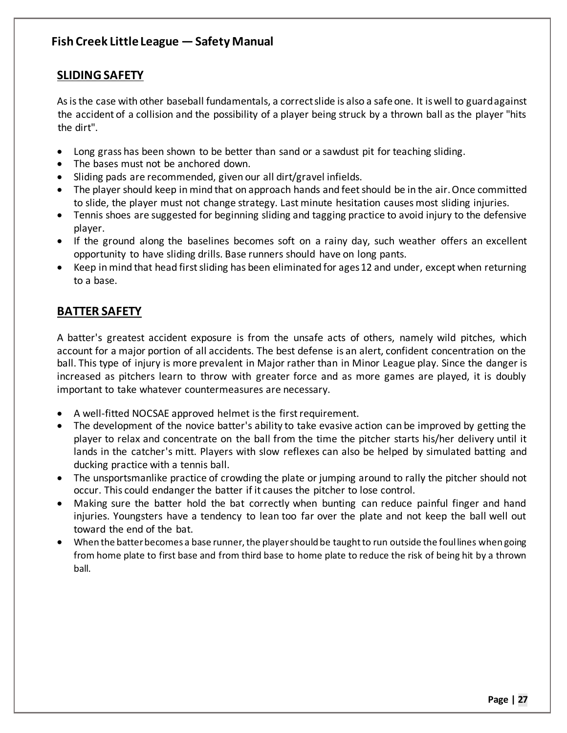## **SLIDING SAFETY**

As is the case with other baseball fundamentals, a correct slide is also a safe one. It is well to guard against the accident of a collision and the possibility of a player being struck by a thrown ball as the player "hits the dirt".

- Long grass has been shown to be better than sand or a sawdust pit for teaching sliding.
- The bases must not be anchored down.
- $\bullet$  Sliding pads are recommended, given our all dirt/gravel infields.
- The player should keep in mind that on approach hands and feet should be in the air. Once committed to slide, the player must not change strategy. Last minute hesitation causes most sliding injuries.
- Tennis shoes are suggested for beginning sliding and tagging practice to avoid injury to the defensive player.
- If the ground along the baselines becomes soft on a rainy day, such weather offers an excellent opportunity to have sliding drills. Base runners should have on long pants.
- Keep in mind that head first sliding has been eliminated for ages 12 and under, except when returning to a base.

## **BATTER SAFETY**

A batter's greatest accident exposure is from the unsafe acts of others, namely wild pitches, which account for a major portion of all accidents. The best defense is an alert, confident concentration on the ball. This type of injury is more prevalent in Major rather than in Minor League play. Since the danger is increased as pitchers learn to throw with greater force and as more games are played, it is doubly important to take whatever countermeasures are necessary.

- A well-fitted NOCSAE approved helmet is the first requirement.
- The development of the novice batter's ability to take evasive action can be improved by getting the player to relax and concentrate on the ball from the time the pitcher starts his/her delivery until it lands in the catcher's mitt. Players with slow reflexes can also be helped by simulated batting and ducking practice with a tennis ball.
- The unsportsmanlike practice of crowding the plate or jumping around to rally the pitcher should not occur. This could endanger the batter if it causes the pitcher to lose control.
- Making sure the batter hold the bat correctly when bunting can reduce painful finger and hand injuries. Youngsters have a tendency to lean too far over the plate and not keep the ball well out toward the end of the bat.
- x When the batter becomes a base runner, the player should be taught to run outside the foul lines when going from home plate to first base and from third base to home plate to reduce the risk of being hit by a thrown ball.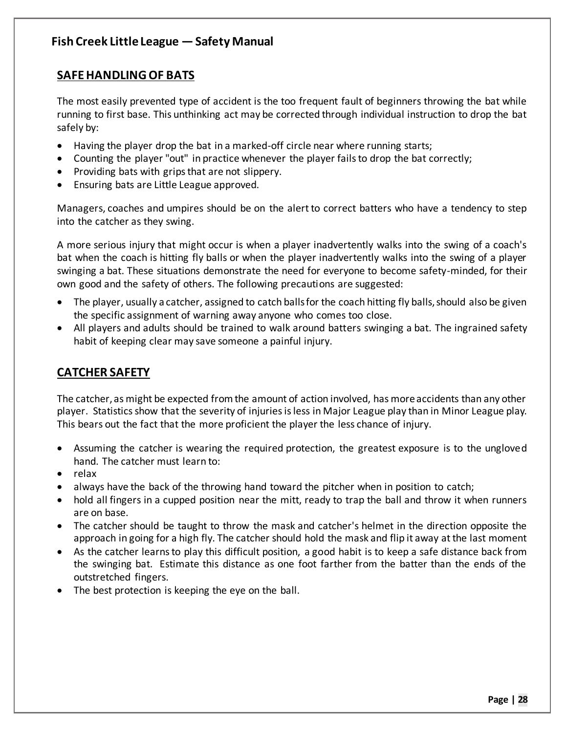### **SAFE HANDLING OF BATS**

The most easily prevented type of accident is the too frequent fault of beginners throwing the bat while running to first base. This unthinking act may be corrected through individual instruction to drop the bat safely by:

- Having the player drop the bat in a marked-off circle near where running starts;
- Counting the player "out" in practice whenever the player fails to drop the bat correctly;
- Providing bats with grips that are not slippery.
- Ensuring bats are Little League approved.

Managers, coaches and umpires should be on the alert to correct batters who have a tendency to step into the catcher as they swing.

A more serious injury that might occur is when a player inadvertently walks into the swing of a coach's bat when the coach is hitting fly balls or when the player inadvertently walks into the swing of a player swinging a bat. These situations demonstrate the need for everyone to become safety-minded, for their own good and the safety of others. The following precautions are suggested:

- $\bullet$  The player, usually a catcher, assigned to catch balls for the coach hitting fly balls, should also be given the specific assignment of warning away anyone who comes too close.
- All players and adults should be trained to walk around batters swinging a bat. The ingrained safety habit of keeping clear may save someone a painful injury.

## **CATCHER SAFETY**

The catcher, as might be expected from the amount of action involved, has more accidents than any other player. Statistics show that the severity of injuries is less in Major League play than in Minor League play. This bears out the fact that the more proficient the player the less chance of injury.

- Assuming the catcher is wearing the required protection, the greatest exposure is to the ungloved hand. The catcher must learn to:
- relax
- always have the back of the throwing hand toward the pitcher when in position to catch;
- hold all fingers in a cupped position near the mitt, ready to trap the ball and throw it when runners are on base.
- The catcher should be taught to throw the mask and catcher's helmet in the direction opposite the approach in going for a high fly. The catcher should hold the mask and flip it away at the last moment
- As the catcher learns to play this difficult position, a good habit is to keep a safe distance back from the swinging bat. Estimate this distance as one foot farther from the batter than the ends of the outstretched fingers.
- The best protection is keeping the eye on the ball.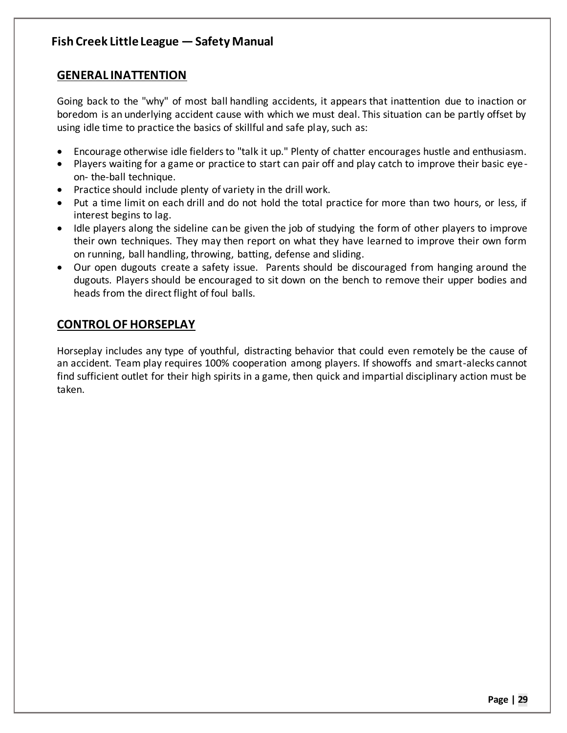## **GENERAL INATTENTION**

Going back to the "why" of most ball handling accidents, it appears that inattention due to inaction or boredom is an underlying accident cause with which we must deal. This situation can be partly offset by using idle time to practice the basics of skillful and safe play, such as:

- Encourage otherwise idle fielders to "talk it up." Plenty of chatter encourages hustle and enthusiasm.
- Players waiting for a game or practice to start can pair off and play catch to improve their basic eyeon- the-ball technique.
- Practice should include plenty of variety in the drill work.
- Put a time limit on each drill and do not hold the total practice for more than two hours, or less, if interest begins to lag.
- Idle players along the sideline can be given the job of studying the form of other players to improve their own techniques. They may then report on what they have learned to improve their own form on running, ball handling, throwing, batting, defense and sliding.
- Our open dugouts create a safety issue. Parents should be discouraged from hanging around the dugouts. Players should be encouraged to sit down on the bench to remove their upper bodies and heads from the direct flight of foul balls.

## **CONTROL OF HORSEPLAY**

Horseplay includes any type of youthful, distracting behavior that could even remotely be the cause of an accident. Team play requires 100% cooperation among players. If showoffs and smart-alecks cannot find sufficient outlet for their high spirits in a game, then quick and impartial disciplinary action must be taken.